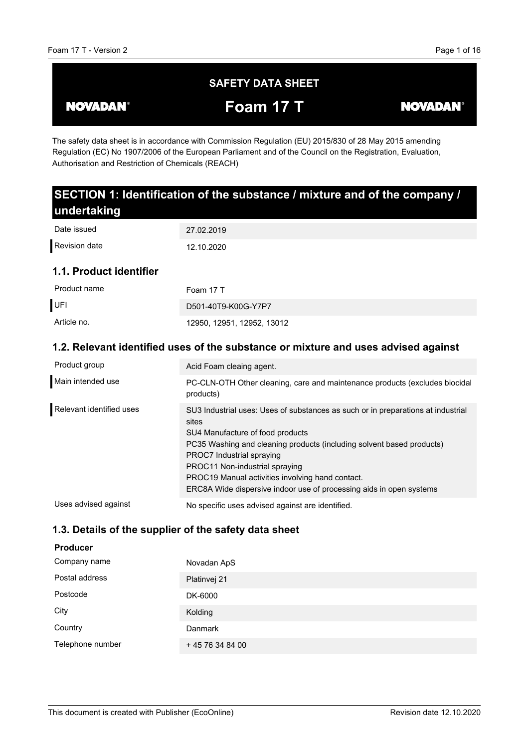# **SAFETY DATA SHEET**

**NOVADAN®** 

**Foam 17 T**

**NOVADAN®** 

The safety data sheet is in accordance with Commission Regulation (EU) 2015/830 of 28 May 2015 amending Regulation (EC) No 1907/2006 of the European Parliament and of the Council on the Registration, Evaluation, Authorisation and Restriction of Chemicals (REACH)

| SECTION 1: Identification of the substance / mixture and of the company /          |                                                                                                                                                                                                                                                                                                                                                                                                  |  |
|------------------------------------------------------------------------------------|--------------------------------------------------------------------------------------------------------------------------------------------------------------------------------------------------------------------------------------------------------------------------------------------------------------------------------------------------------------------------------------------------|--|
| undertaking                                                                        |                                                                                                                                                                                                                                                                                                                                                                                                  |  |
| Date issued                                                                        | 27.02.2019                                                                                                                                                                                                                                                                                                                                                                                       |  |
| <b>Revision date</b>                                                               | 12.10.2020                                                                                                                                                                                                                                                                                                                                                                                       |  |
| 1.1. Product identifier                                                            |                                                                                                                                                                                                                                                                                                                                                                                                  |  |
| Product name                                                                       | Foam 17 T                                                                                                                                                                                                                                                                                                                                                                                        |  |
| UFI                                                                                | D501-40T9-K00G-Y7P7                                                                                                                                                                                                                                                                                                                                                                              |  |
| Article no.                                                                        | 12950, 12951, 12952, 13012                                                                                                                                                                                                                                                                                                                                                                       |  |
| 1.2. Relevant identified uses of the substance or mixture and uses advised against |                                                                                                                                                                                                                                                                                                                                                                                                  |  |
| Product group                                                                      | Acid Foam cleaing agent.                                                                                                                                                                                                                                                                                                                                                                         |  |
| Main intended use                                                                  | PC-CLN-OTH Other cleaning, care and maintenance products (excludes biocidal<br>products)                                                                                                                                                                                                                                                                                                         |  |
| Relevant identified uses                                                           | SU3 Industrial uses: Uses of substances as such or in preparations at industrial<br>sites<br>SU4 Manufacture of food products<br>PC35 Washing and cleaning products (including solvent based products)<br>PROC7 Industrial spraying<br>PROC11 Non-industrial spraying<br>PROC19 Manual activities involving hand contact.<br>ERC8A Wide dispersive indoor use of processing aids in open systems |  |

No specific uses advised against are identified. Uses advised against

# **1.3. Details of the supplier of the safety data sheet**

# **Producer**

| Company name     | Novadan ApS     |
|------------------|-----------------|
| Postal address   | Platinvej 21    |
| Postcode         | DK-6000         |
| City             | Kolding         |
| Country          | <b>Danmark</b>  |
| Telephone number | +45 76 34 84 00 |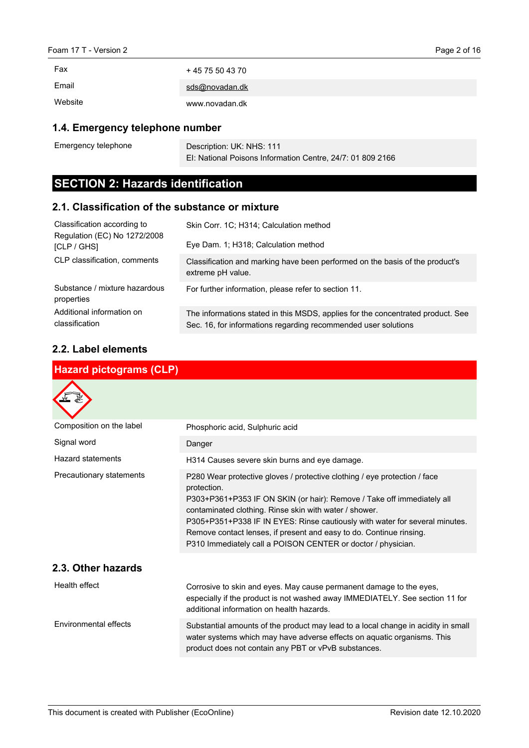Emergency telephone

| Fax     | $+4575504370$  |
|---------|----------------|
| Email   | sds@novadan.dk |
| Website | www.novadan.dk |

### **1.4. Emergency telephone number**

Description: UK: NHS: 111 EI: National Poisons Information Centre, 24/7: 01 809 2166

# **SECTION 2: Hazards identification**

### **2.1. Classification of the substance or mixture**

| Classification according to<br>Regulation (EC) No 1272/2008<br>[CLP / GHS] | Skin Corr. 1C; H314; Calculation method<br>Eye Dam. 1; H318; Calculation method                                                                   |
|----------------------------------------------------------------------------|---------------------------------------------------------------------------------------------------------------------------------------------------|
| CLP classification, comments                                               | Classification and marking have been performed on the basis of the product's<br>extreme pH value.                                                 |
| Substance / mixture hazardous<br>properties                                | For further information, please refer to section 11.                                                                                              |
| Additional information on<br>classification                                | The informations stated in this MSDS, applies for the concentrated product. See<br>Sec. 16, for informations regarding recommended user solutions |

### **2.2. Label elements**

| <b>Hazard pictograms (CLP)</b> |                                                                                                                                                                                                                                                                                                                                                                                                                                                    |  |
|--------------------------------|----------------------------------------------------------------------------------------------------------------------------------------------------------------------------------------------------------------------------------------------------------------------------------------------------------------------------------------------------------------------------------------------------------------------------------------------------|--|
|                                |                                                                                                                                                                                                                                                                                                                                                                                                                                                    |  |
| Composition on the label       | Phosphoric acid, Sulphuric acid                                                                                                                                                                                                                                                                                                                                                                                                                    |  |
| Signal word                    | Danger                                                                                                                                                                                                                                                                                                                                                                                                                                             |  |
| <b>Hazard statements</b>       | H314 Causes severe skin burns and eye damage.                                                                                                                                                                                                                                                                                                                                                                                                      |  |
| Precautionary statements       | P280 Wear protective gloves / protective clothing / eye protection / face<br>protection.<br>P303+P361+P353 IF ON SKIN (or hair): Remove / Take off immediately all<br>contaminated clothing. Rinse skin with water / shower.<br>P305+P351+P338 IF IN EYES: Rinse cautiously with water for several minutes.<br>Remove contact lenses, if present and easy to do. Continue rinsing.<br>P310 Immediately call a POISON CENTER or doctor / physician. |  |
| 2.3. Other hazards             |                                                                                                                                                                                                                                                                                                                                                                                                                                                    |  |
| Health effect                  | Corrosive to skin and eyes. May cause permanent damage to the eyes,<br>especially if the product is not washed away IMMEDIATELY. See section 11 for<br>additional information on health hazards.                                                                                                                                                                                                                                                   |  |
| Environmental effects          | Substantial amounts of the product may lead to a local change in acidity in small<br>water systems which may have adverse effects on aquatic organisms. This<br>product does not contain any PBT or vPvB substances.                                                                                                                                                                                                                               |  |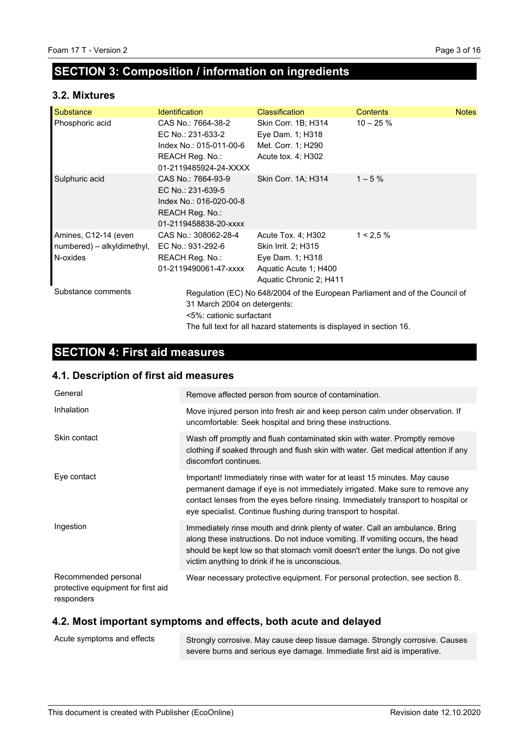# **SECTION 3: Composition / information on ingredients**

### **3.2. Mixtures**

| Substance                                                      | <b>Identification</b>                                                                                          | <b>Classification</b>                                                                                             | <b>Contents</b>                                                              | <b>Notes</b> |
|----------------------------------------------------------------|----------------------------------------------------------------------------------------------------------------|-------------------------------------------------------------------------------------------------------------------|------------------------------------------------------------------------------|--------------|
| Phosphoric acid                                                | CAS No.: 7664-38-2<br>EC No.: 231-633-2<br>Index No.: 015-011-00-6<br>REACH Reg. No.:<br>01-2119485924-24-XXXX | Skin Corr. 1B; H314<br>Eye Dam. 1; H318<br>Met. Corr. 1; H290<br>Acute tox. 4; H302                               | $10 - 25 \%$                                                                 |              |
| Sulphuric acid                                                 | CAS No.: 7664-93-9<br>EC No.: 231-639-5<br>Index No.: 016-020-00-8<br>REACH Reg. No.:<br>01-2119458838-20-xxxx | Skin Corr. 1A; H314                                                                                               | $1 - 5%$                                                                     |              |
| Amines, C12-14 (even<br>numbered) – alkyldimethyl,<br>N-oxides | CAS No.: 308062-28-4<br>EC No.: 931-292-6<br>REACH Reg. No.:<br>01-2119490061-47-xxxx                          | Acute Tox. 4; H302<br>Skin Irrit. 2; H315<br>Eye Dam. 1; H318<br>Aquatic Acute 1; H400<br>Aquatic Chronic 2; H411 | $1 < 2.5 \%$                                                                 |              |
| Substance comments                                             | 31 March 2004 on detergents:<br><5%: cationic surfactant                                                       | The full text for all hazard statements is displayed in section 16.                                               | Regulation (EC) No 648/2004 of the European Parliament and of the Council of |              |

# **SECTION 4: First aid measures**

# **4.1. Description of first aid measures**

| General                                                                  | Remove affected person from source of contamination.                                                                                                                                                                                                                                                                |
|--------------------------------------------------------------------------|---------------------------------------------------------------------------------------------------------------------------------------------------------------------------------------------------------------------------------------------------------------------------------------------------------------------|
| Inhalation                                                               | Move injured person into fresh air and keep person calm under observation. If<br>uncomfortable: Seek hospital and bring these instructions.                                                                                                                                                                         |
| Skin contact                                                             | Wash off promptly and flush contaminated skin with water. Promptly remove<br>clothing if soaked through and flush skin with water. Get medical attention if any<br>discomfort continues.                                                                                                                            |
| Eye contact                                                              | Important! Immediately rinse with water for at least 15 minutes. May cause<br>permanent damage if eye is not immediately irrigated. Make sure to remove any<br>contact lenses from the eyes before rinsing. Immediately transport to hospital or<br>eye specialist. Continue flushing during transport to hospital. |
| Ingestion                                                                | Immediately rinse mouth and drink plenty of water. Call an ambulance. Bring<br>along these instructions. Do not induce vomiting. If vomiting occurs, the head<br>should be kept low so that stomach vomit doesn't enter the lungs. Do not give<br>victim anything to drink if he is unconscious.                    |
| Recommended personal<br>protective equipment for first aid<br>responders | Wear necessary protective equipment. For personal protection, see section 8.                                                                                                                                                                                                                                        |

# **4.2. Most important symptoms and effects, both acute and delayed**

| Acute symptoms and effects | Strongly corrosive. May cause deep tissue damage. Strongly corrosive. Causes |
|----------------------------|------------------------------------------------------------------------------|
|                            | severe burns and serious eye damage. Immediate first aid is imperative.      |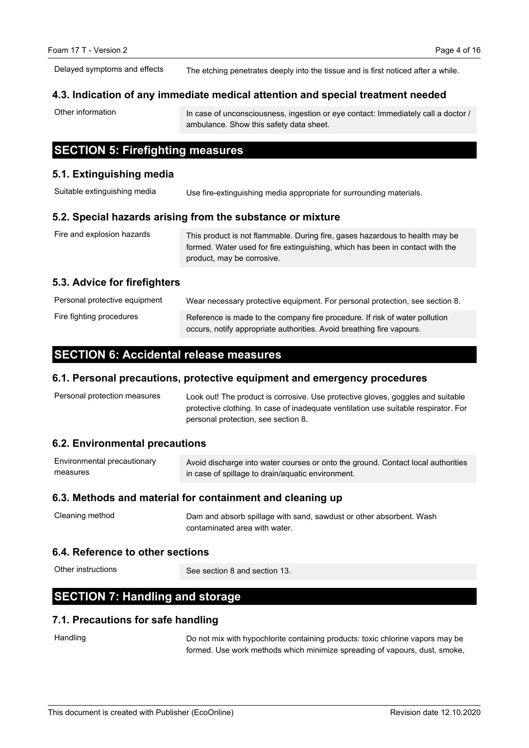The etching penetrates deeply into the tissue and is first noticed after a while. Delayed symptoms and effects

#### **4.3. Indication of any immediate medical attention and special treatment needed**

Other information

In case of unconsciousness, ingestion or eye contact: Immediately call a doctor / ambulance. Show this safety data sheet.

# **SECTION 5: Firefighting measures**

#### **5.1. Extinguishing media**

Use fire-extinguishing media appropriate for surrounding materials. Suitable extinguishing media

#### **5.2. Special hazards arising from the substance or mixture**

| Fire and explosion hazards | This product is not flammable. During fire, gases hazardous to health may be  |
|----------------------------|-------------------------------------------------------------------------------|
|                            | formed. Water used for fire extinguishing, which has been in contact with the |
|                            | product, may be corrosive.                                                    |

### **5.3. Advice for firefighters**

| Personal protective equipment | Wear necessary protective equipment. For personal protection, see section 8. |
|-------------------------------|------------------------------------------------------------------------------|
| Fire fighting procedures      | Reference is made to the company fire procedure. If risk of water pollution  |
|                               | occurs, notify appropriate authorities. Avoid breathing fire vapours.        |

### **SECTION 6: Accidental release measures**

#### **6.1. Personal precautions, protective equipment and emergency procedures**

| Personal protection measures | Look out! The product is corrosive. Use protective gloves, goggles and suitable     |
|------------------------------|-------------------------------------------------------------------------------------|
|                              | protective clothing. In case of inadequate ventilation use suitable respirator. For |
|                              | personal protection, see section 8.                                                 |

### **6.2. Environmental precautions**

| Environmental precautionary | Avoid discharge into water courses or onto the ground. Contact local authorities |
|-----------------------------|----------------------------------------------------------------------------------|
| measures                    | in case of spillage to drain/aquatic environment.                                |

#### **6.3. Methods and material for containment and cleaning up**

| Cleaning method | Dam and absorb spillage with sand, sawdust or other absorbent. Wash |
|-----------------|---------------------------------------------------------------------|
|                 | contaminated area with water.                                       |

### **6.4. Reference to other sections**

Other instructions

See section 8 and section 13.

# **SECTION 7: Handling and storage**

### **7.1. Precautions for safe handling**

**Handling** 

Do not mix with hypochlorite containing products: toxic chlorine vapors may be formed. Use work methods which minimize spreading of vapours, dust, smoke,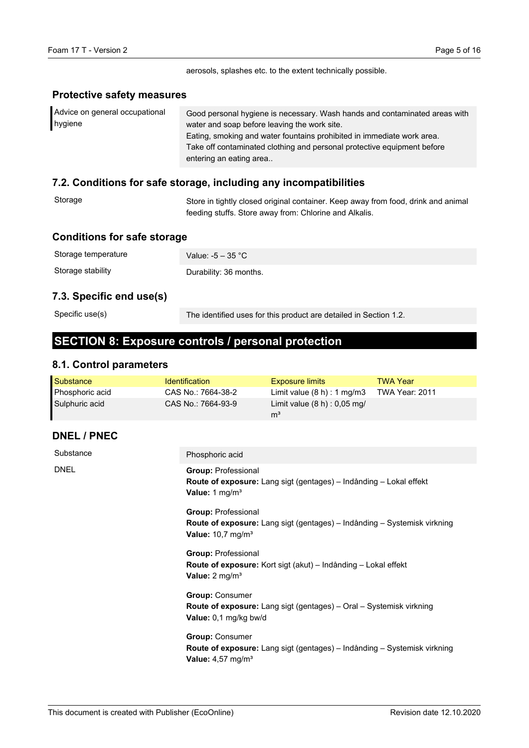aerosols, splashes etc. to the extent technically possible.

#### **Protective safety measures**

| Advice on general occupational | Good personal hygiene is necessary. Wash hands and contaminated areas with |
|--------------------------------|----------------------------------------------------------------------------|
| hygiene                        | water and soap before leaving the work site.                               |
|                                | Eating, smoking and water fountains prohibited in immediate work area.     |
|                                | Take off contaminated clothing and personal protective equipment before    |
|                                | entering an eating area                                                    |

### **7.2. Conditions for safe storage, including any incompatibilities**

| Storage | Store in tightly closed original container. Keep away from food, drink and animal |
|---------|-----------------------------------------------------------------------------------|
|         | feeding stuffs. Store away from: Chlorine and Alkalis.                            |

### **Conditions for safe storage**

| Storage temperature | Value: $-5 - 35$ °C    |
|---------------------|------------------------|
| Storage stability   | Durability: 36 months. |
|                     |                        |

# **7.3. Specific end use(s)**

Specific use(s)

The identified uses for this product are detailed in Section 1.2.

# **SECTION 8: Exposure controls / personal protection**

### **8.1. Control parameters**

| Substance       | <b>Identification</b> | <b>Exposure limits</b>         | <b>TWA Year</b> |
|-----------------|-----------------------|--------------------------------|-----------------|
| Phosphoric acid | CAS No.: 7664-38-2    | Limit value $(8 h) : 1 mg/m3$  | TWA Year: 2011  |
| Sulphuric acid  | CAS No.: 7664-93-9    | Limit value $(8 h) : 0.05 mg/$ |                 |
|                 |                       | m <sup>3</sup>                 |                 |

### **DNEL / PNEC**

| Substance   | Phosphoric acid                                                                                                                                  |
|-------------|--------------------------------------------------------------------------------------------------------------------------------------------------|
| <b>DNEL</b> | <b>Group: Professional</b><br><b>Route of exposure:</b> Lang sigt (gentages) – Indånding – Lokal effekt<br>Value: 1 $mg/m3$                      |
|             | <b>Group: Professional</b><br><b>Route of exposure:</b> Lang sigt (gentages) – Indånding – Systemisk virkning<br>Value: $10,7$ mg/m <sup>3</sup> |
|             | <b>Group: Professional</b><br><b>Route of exposure:</b> Kort sigt (akut) – Indånding – Lokal effekt<br>Value: $2 \text{ mg/m}^3$                 |
|             | <b>Group: Consumer</b><br>Route of exposure: Lang sigt (gentages) - Oral - Systemisk virkning<br>Value: 0,1 mg/kg bw/d                           |
|             | <b>Group: Consumer</b><br><b>Route of exposure:</b> Lang sigt (gentages) – Indånding – Systemisk virkning<br>Value: $4,57$ mg/m <sup>3</sup>     |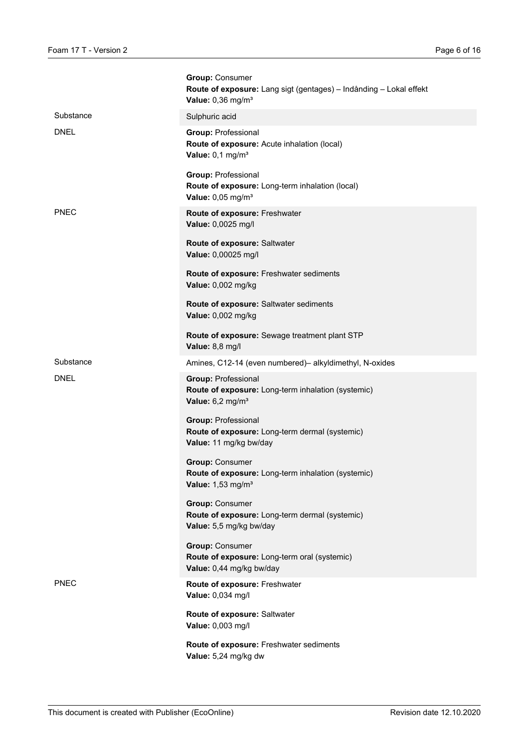|             | <b>Group: Consumer</b><br>Route of exposure: Lang sigt (gentages) - Indånding - Lokal effekt<br>Value: $0,36$ mg/m <sup>3</sup> |
|-------------|---------------------------------------------------------------------------------------------------------------------------------|
| Substance   | Sulphuric acid                                                                                                                  |
| <b>DNEL</b> | <b>Group: Professional</b><br>Route of exposure: Acute inhalation (local)<br>Value: $0,1$ mg/m <sup>3</sup>                     |
|             | <b>Group: Professional</b><br>Route of exposure: Long-term inhalation (local)<br>Value: $0,05$ mg/m <sup>3</sup>                |
| <b>PNEC</b> | Route of exposure: Freshwater<br>Value: 0,0025 mg/l                                                                             |
|             | Route of exposure: Saltwater<br>Value: 0,00025 mg/l                                                                             |
|             | Route of exposure: Freshwater sediments<br>Value: 0,002 mg/kg                                                                   |
|             | Route of exposure: Saltwater sediments<br>Value: 0,002 mg/kg                                                                    |
|             | Route of exposure: Sewage treatment plant STP<br>Value: 8,8 mg/l                                                                |
| Substance   | Amines, C12-14 (even numbered)- alkyldimethyl, N-oxides                                                                         |
| <b>DNEL</b> | <b>Group: Professional</b><br>Route of exposure: Long-term inhalation (systemic)<br>Value: $6,2$ mg/m <sup>3</sup>              |
|             | <b>Group: Professional</b><br>Route of exposure: Long-term dermal (systemic)<br>Value: 11 mg/kg bw/day                          |
|             | <b>Group: Consumer</b><br>Route of exposure: Long-term inhalation (systemic)<br>Value: 1,53 mg/m <sup>3</sup>                   |
|             | <b>Group: Consumer</b><br>Route of exposure: Long-term dermal (systemic)<br>Value: 5,5 mg/kg bw/day                             |
|             | <b>Group: Consumer</b><br>Route of exposure: Long-term oral (systemic)<br>Value: 0,44 mg/kg bw/day                              |
| <b>PNEC</b> | Route of exposure: Freshwater<br>Value: 0,034 mg/l                                                                              |
|             | Route of exposure: Saltwater<br>Value: 0,003 mg/l                                                                               |
|             | Route of exposure: Freshwater sediments<br>Value: 5,24 mg/kg dw                                                                 |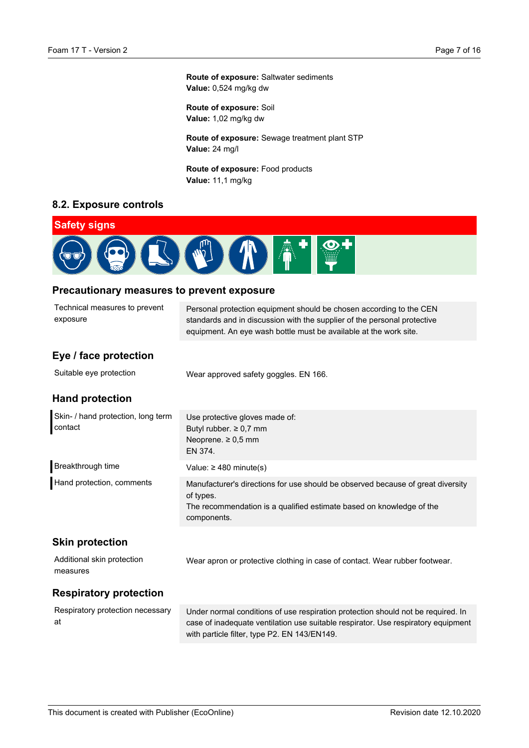#### **Route of exposure:** Saltwater sediments **Value:** 0,524 mg/kg dw

**Route of exposure:** Soil **Value:** 1,02 mg/kg dw

**Route of exposure:** Sewage treatment plant STP **Value:** 24 mg/l

**Route of exposure:** Food products **Value:** 11,1 mg/kg

### **8.2. Exposure controls**



### **Precautionary measures to prevent exposure**

| Technical measures to prevent<br>exposure     | Personal protection equipment should be chosen according to the CEN<br>standards and in discussion with the supplier of the personal protective<br>equipment. An eye wash bottle must be available at the work site. |
|-----------------------------------------------|----------------------------------------------------------------------------------------------------------------------------------------------------------------------------------------------------------------------|
| Eye / face protection                         |                                                                                                                                                                                                                      |
| Suitable eye protection                       | Wear approved safety goggles. EN 166.                                                                                                                                                                                |
| <b>Hand protection</b>                        |                                                                                                                                                                                                                      |
| Skin- / hand protection, long term<br>contact | Use protective gloves made of:<br>Butyl rubber. $\geq 0.7$ mm<br>Neoprene. $\geq 0.5$ mm<br>EN 374.                                                                                                                  |
| Breakthrough time                             | Value: $\geq$ 480 minute(s)                                                                                                                                                                                          |
| Hand protection, comments                     | Manufacturer's directions for use should be observed because of great diversity<br>of types.<br>The recommendation is a qualified estimate based on knowledge of the<br>components.                                  |
| <b>Skin protection</b>                        |                                                                                                                                                                                                                      |
| Additional skin protection<br>measures        | Wear apron or protective clothing in case of contact. Wear rubber footwear.                                                                                                                                          |
| <b>Respiratory protection</b>                 |                                                                                                                                                                                                                      |
| Respiratory protection necessary<br>at        | Under normal conditions of use respiration protection should not be required. In<br>case of inadequate ventilation use suitable respirator. Use respiratory equipment                                                |

with particle filter, type P2. EN 143/EN149.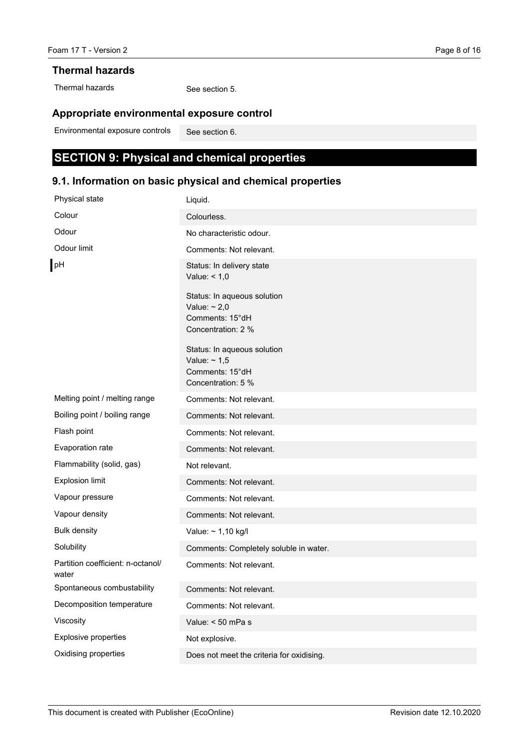#### **Thermal hazards**

Thermal hazards

See section 5.

# **Appropriate environmental exposure control**

See section 6. Environmental exposure controls

# **SECTION 9: Physical and chemical properties**

# **9.1. Information on basic physical and chemical properties**

| Physical state                             | Liquid.                                                                                   |
|--------------------------------------------|-------------------------------------------------------------------------------------------|
| Colour                                     | Colourless.                                                                               |
| Odour                                      | No characteristic odour.                                                                  |
| Odour limit                                | Comments: Not relevant.                                                                   |
| pH                                         | Status: In delivery state<br>Value: $< 1,0$<br>Status: In aqueous solution                |
|                                            | Value: $\sim 2.0$<br>Comments: 15°dH<br>Concentration: 2 %                                |
|                                            | Status: In aqueous solution<br>Value: $\sim$ 1,5<br>Comments: 15°dH<br>Concentration: 5 % |
| Melting point / melting range              | Comments: Not relevant.                                                                   |
| Boiling point / boiling range              | Comments: Not relevant.                                                                   |
| Flash point                                | Comments: Not relevant.                                                                   |
| Evaporation rate                           | Comments: Not relevant.                                                                   |
| Flammability (solid, gas)                  | Not relevant.                                                                             |
| <b>Explosion limit</b>                     | Comments: Not relevant.                                                                   |
| Vapour pressure                            | Comments: Not relevant.                                                                   |
| Vapour density                             | Comments: Not relevant.                                                                   |
| <b>Bulk density</b>                        | Value: $\sim$ 1,10 kg/l                                                                   |
| Solubility                                 | Comments: Completely soluble in water.                                                    |
| Partition coefficient: n-octanol/<br>water | Comments: Not relevant.                                                                   |
| Spontaneous combustability                 | Comments: Not relevant.                                                                   |
| Decomposition temperature                  | Comments: Not relevant.                                                                   |
| Viscosity                                  | Value: $<$ 50 mPa s                                                                       |
| Explosive properties                       | Not explosive.                                                                            |
| Oxidising properties                       | Does not meet the criteria for oxidising.                                                 |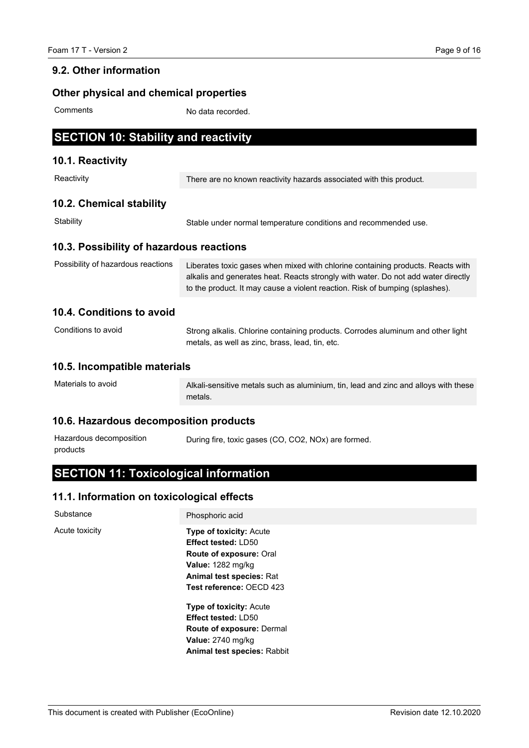### **9.2. Other information**

# **Other physical and chemical properties**

**Comments** 

No data recorded.

# **SECTION 10: Stability and reactivity**

### **10.1. Reactivity**

| Reactivity                               | There are no known reactivity hazards associated with this product.                                                                                                                                                                                  |
|------------------------------------------|------------------------------------------------------------------------------------------------------------------------------------------------------------------------------------------------------------------------------------------------------|
| 10.2. Chemical stability                 |                                                                                                                                                                                                                                                      |
| Stability                                | Stable under normal temperature conditions and recommended use.                                                                                                                                                                                      |
| 10.3. Possibility of hazardous reactions |                                                                                                                                                                                                                                                      |
| Possibility of hazardous reactions       | Liberates toxic gases when mixed with chlorine containing products. Reacts with<br>alkalis and generates heat. Reacts strongly with water. Do not add water directly<br>to the product. It may cause a violent reaction. Risk of bumping (splashes). |
| 10.4. Conditions to avoid                |                                                                                                                                                                                                                                                      |
| Conditions to avoid                      | Strong alkalis. Chlorine containing products. Corrodes aluminum and other light<br>metals, as well as zinc, brass, lead, tin, etc.                                                                                                                   |
| 10.5. Incompatible materials             |                                                                                                                                                                                                                                                      |
| Materials to avoid                       | Alkali-sensitive metals such as aluminium, tin, lead and zinc and alloys with these<br>metals.                                                                                                                                                       |

### **10.6. Hazardous decomposition products**

| Hazardous decomposition | During fire, toxic gases (CO, CO2, NOx) are formed. |  |
|-------------------------|-----------------------------------------------------|--|
| products                |                                                     |  |

# **SECTION 11: Toxicological information**

### **11.1. Information on toxicological effects**

| Substance      | Phosphoric acid                                                                                                                                                                    |
|----------------|------------------------------------------------------------------------------------------------------------------------------------------------------------------------------------|
| Acute toxicity | <b>Type of toxicity: Acute</b><br><b>Effect tested: LD50</b><br>Route of exposure: Oral<br><b>Value: 1282 mg/kg</b><br><b>Animal test species: Rat</b><br>Test reference: OECD 423 |
|                | <b>Type of toxicity: Acute</b><br><b>Effect tested: LD50</b><br>Route of exposure: Dermal<br><b>Value: 2740 mg/kg</b><br><b>Animal test species: Rabbit</b>                        |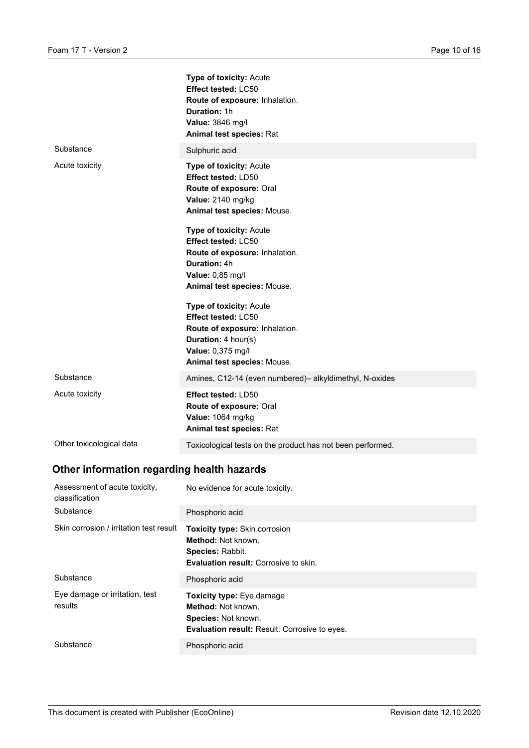|                          | <b>Type of toxicity: Acute</b><br>Effect tested: LC50<br>Route of exposure: Inhalation.<br>Duration: 1h<br>Value: 3846 mg/l<br>Animal test species: Rat                                                                                                                                                                                                                                |
|--------------------------|----------------------------------------------------------------------------------------------------------------------------------------------------------------------------------------------------------------------------------------------------------------------------------------------------------------------------------------------------------------------------------------|
| Substance                | Sulphuric acid                                                                                                                                                                                                                                                                                                                                                                         |
| Acute toxicity           | Type of toxicity: Acute<br>Effect tested: LD50<br>Route of exposure: Oral<br>Value: 2140 mg/kg<br>Animal test species: Mouse.<br>Type of toxicity: Acute<br>Effect tested: LC50<br>Route of exposure: Inhalation.<br><b>Duration: 4h</b><br>Value: 0,85 mg/l<br>Animal test species: Mouse.<br><b>Type of toxicity: Acute</b><br>Effect tested: LC50<br>Route of exposure: Inhalation. |
|                          | Duration: 4 hour(s)<br>Value: 0,375 mg/l<br>Animal test species: Mouse.                                                                                                                                                                                                                                                                                                                |
| Substance                | Amines, C12-14 (even numbered)- alkyldimethyl, N-oxides                                                                                                                                                                                                                                                                                                                                |
| Acute toxicity           | Effect tested: LD50<br>Route of exposure: Oral<br>Value: 1064 mg/kg<br>Animal test species: Rat                                                                                                                                                                                                                                                                                        |
| Other toxicological data | Toxicological tests on the product has not been performed.                                                                                                                                                                                                                                                                                                                             |
|                          |                                                                                                                                                                                                                                                                                                                                                                                        |

# **Other information regarding health hazards**

| Assessment of acute toxicity,<br>classification | No evidence for acute toxicity.                                                                                                              |
|-------------------------------------------------|----------------------------------------------------------------------------------------------------------------------------------------------|
| Substance                                       | Phosphoric acid                                                                                                                              |
| Skin corrosion / irritation test result         | <b>Toxicity type: Skin corrosion</b><br><b>Method: Not known.</b><br><b>Species: Rabbit.</b><br><b>Evaluation result:</b> Corrosive to skin. |
| Substance                                       | Phosphoric acid                                                                                                                              |
| Eye damage or irritation, test<br>results       | <b>Toxicity type:</b> Eye damage<br>Method: Not known.<br><b>Species: Not known.</b><br><b>Evaluation result: Result: Corrosive to eyes.</b> |
| Substance                                       | Phosphoric acid                                                                                                                              |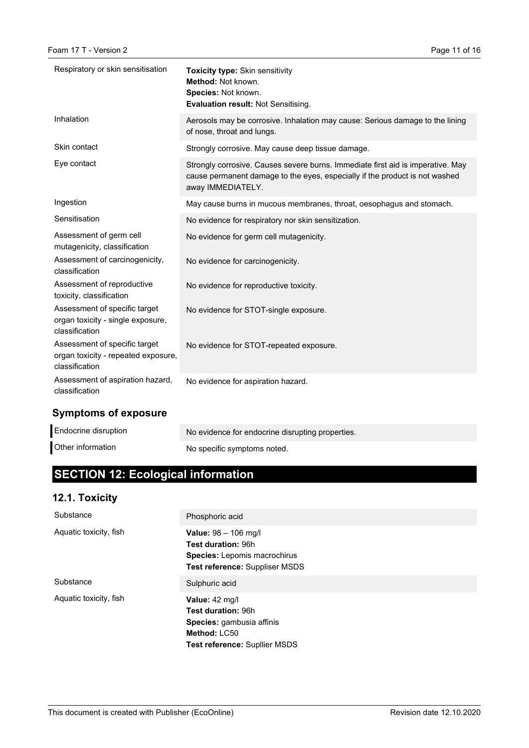| Respiratory or skin sensitisation                                                      | <b>Toxicity type: Skin sensitivity</b><br>Method: Not known.<br>Species: Not known.<br>Evaluation result: Not Sensitising.                                                          |
|----------------------------------------------------------------------------------------|-------------------------------------------------------------------------------------------------------------------------------------------------------------------------------------|
| Inhalation                                                                             | Aerosols may be corrosive. Inhalation may cause: Serious damage to the lining<br>of nose, throat and lungs.                                                                         |
| Skin contact                                                                           | Strongly corrosive. May cause deep tissue damage.                                                                                                                                   |
| Eye contact                                                                            | Strongly corrosive. Causes severe burns. Immediate first aid is imperative. May<br>cause permanent damage to the eyes, especially if the product is not washed<br>away IMMEDIATELY. |
| Ingestion                                                                              | May cause burns in mucous membranes, throat, oesophagus and stomach.                                                                                                                |
| Sensitisation                                                                          | No evidence for respiratory nor skin sensitization.                                                                                                                                 |
| Assessment of germ cell<br>mutagenicity, classification                                | No evidence for germ cell mutagenicity.                                                                                                                                             |
| Assessment of carcinogenicity,<br>classification                                       | No evidence for carcinogenicity.                                                                                                                                                    |
| Assessment of reproductive<br>toxicity, classification                                 | No evidence for reproductive toxicity.                                                                                                                                              |
| Assessment of specific target<br>organ toxicity - single exposure,<br>classification   | No evidence for STOT-single exposure.                                                                                                                                               |
| Assessment of specific target<br>organ toxicity - repeated exposure,<br>classification | No evidence for STOT-repeated exposure.                                                                                                                                             |
| Assessment of aspiration hazard,<br>classification                                     | No evidence for aspiration hazard.                                                                                                                                                  |

# **Symptoms of exposure**

| Endocrine disruption | No evidence for endocrine disrupting properties. |
|----------------------|--------------------------------------------------|
| Other information    | No specific symptoms noted.                      |

# **SECTION 12: Ecological information**

# **12.1. Toxicity**

| Substance              | Phosphoric acid                                                                                                     |
|------------------------|---------------------------------------------------------------------------------------------------------------------|
| Aquatic toxicity, fish | Value: 98 - 106 mg/l<br>Test duration: 96h<br>Species: Lepomis macrochirus<br><b>Test reference: Suppliser MSDS</b> |
| Substance              | Sulphuric acid                                                                                                      |
| Aquatic toxicity, fish | Value: 42 mg/l<br>Test duration: 96h<br>Species: gambusia affinis<br>Method: LC50<br>Test reference: Suplier MSDS   |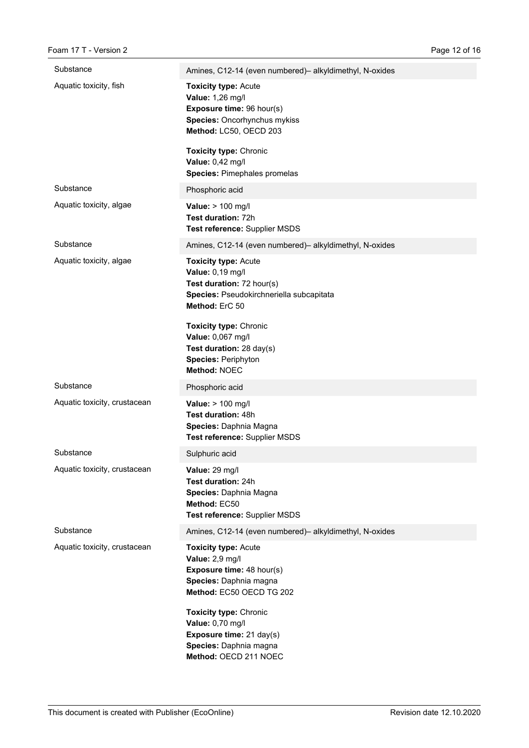| Substance                    | Amines, C12-14 (even numbered)- alkyldimethyl, N-oxides                                                                                                                   |
|------------------------------|---------------------------------------------------------------------------------------------------------------------------------------------------------------------------|
| Aquatic toxicity, fish       | <b>Toxicity type: Acute</b><br>Value: 1,26 mg/l<br>Exposure time: 96 hour(s)<br>Species: Oncorhynchus mykiss<br>Method: LC50, OECD 203                                    |
|                              | <b>Toxicity type: Chronic</b><br>Value: 0,42 mg/l<br>Species: Pimephales promelas                                                                                         |
| Substance                    | Phosphoric acid                                                                                                                                                           |
| Aquatic toxicity, algae      | Value: > 100 mg/l<br>Test duration: 72h<br>Test reference: Supplier MSDS                                                                                                  |
| Substance                    | Amines, C12-14 (even numbered)- alkyldimethyl, N-oxides                                                                                                                   |
| Aquatic toxicity, algae      | <b>Toxicity type: Acute</b><br>Value: 0,19 mg/l<br>Test duration: 72 hour(s)<br>Species: Pseudokirchneriella subcapitata<br>Method: ErC 50                                |
|                              | <b>Toxicity type: Chronic</b><br>Value: 0,067 mg/l<br>Test duration: 28 day(s)<br><b>Species: Periphyton</b><br>Method: NOEC                                              |
| Substance                    | Phosphoric acid                                                                                                                                                           |
| Aquatic toxicity, crustacean | Value: > 100 mg/l<br>Test duration: 48h<br>Species: Daphnia Magna<br>Test reference: Supplier MSDS                                                                        |
| Substance                    | Sulphuric acid                                                                                                                                                            |
| Aquatic toxicity, crustacean | Value: 29 mg/l<br>Test duration: 24h<br>Species: Daphnia Magna<br>Method: EC50<br>Test reference: Supplier MSDS                                                           |
| Substance                    | Amines, C12-14 (even numbered)- alkyldimethyl, N-oxides                                                                                                                   |
| Aquatic toxicity, crustacean | <b>Toxicity type: Acute</b><br>Value: 2,9 mg/l<br><b>Exposure time: 48 hour(s)</b><br>Species: Daphnia magna<br>Method: EC50 OECD TG 202<br><b>Toxicity type: Chronic</b> |
|                              | Value: 0,70 mg/l<br>Exposure time: 21 day(s)<br>Species: Daphnia magna<br>Method: OECD 211 NOEC                                                                           |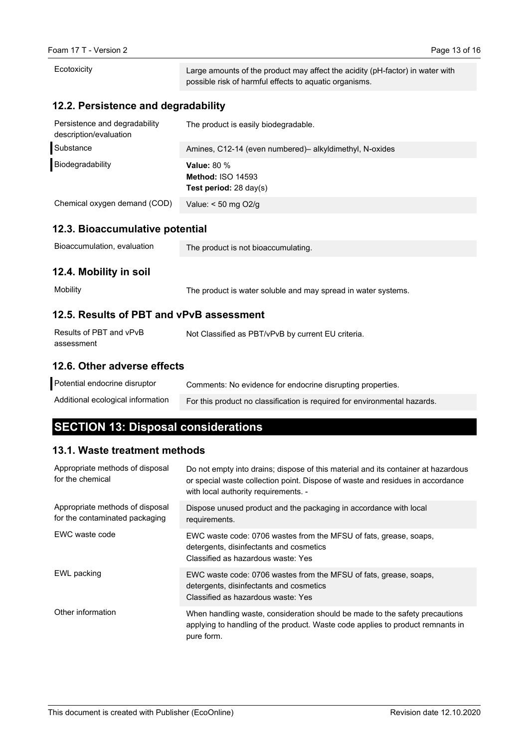| Ecotoxicity                                             | Large amounts of the product may affect the acidity (pH-factor) in water with<br>possible risk of harmful effects to aquatic organisms. |  |
|---------------------------------------------------------|-----------------------------------------------------------------------------------------------------------------------------------------|--|
| 12.2. Persistence and degradability                     |                                                                                                                                         |  |
| Persistence and degradability<br>description/evaluation | The product is easily biodegradable.                                                                                                    |  |
| Substance                                               | Amines, C12-14 (even numbered)- alkyldimethyl, N-oxides                                                                                 |  |
| Biodegradability                                        | Value: 80 %<br><b>Method: ISO 14593</b><br><b>Test period:</b> $28 \text{ day}(s)$                                                      |  |
| Chemical oxygen demand (COD)                            | Value: < 50 mg O2/g                                                                                                                     |  |
| 12.3. Bioaccumulative potential                         |                                                                                                                                         |  |
| Bioaccumulation, evaluation                             | The product is not bioaccumulating.                                                                                                     |  |
| 12.4. Mobility in soil                                  |                                                                                                                                         |  |
| Mobility                                                | The product is water soluble and may spread in water systems.                                                                           |  |
| 12.5. Results of PBT and vPvB assessment                |                                                                                                                                         |  |
| Results of PBT and vPvB<br>assessment                   | Not Classified as PBT/vPvB by current EU criteria.                                                                                      |  |
| 12.6. Other adverse effects                             |                                                                                                                                         |  |
| Potential endocrine disruptor                           | Commonto: No ovidence for endecrine disrupting properties                                                                               |  |

| Potential endocrine disruptor     | Comments: No evidence for endocrine disrupting properties.                |
|-----------------------------------|---------------------------------------------------------------------------|
| Additional ecological information | For this product no classification is required for environmental hazards. |

# **SECTION 13: Disposal considerations**

# **13.1. Waste treatment methods**

| Appropriate methods of disposal<br>for the chemical               | Do not empty into drains; dispose of this material and its container at hazardous<br>or special waste collection point. Dispose of waste and residues in accordance<br>with local authority requirements. - |
|-------------------------------------------------------------------|-------------------------------------------------------------------------------------------------------------------------------------------------------------------------------------------------------------|
| Appropriate methods of disposal<br>for the contaminated packaging | Dispose unused product and the packaging in accordance with local<br>requirements.                                                                                                                          |
| EWC waste code                                                    | EWC waste code: 0706 wastes from the MFSU of fats, grease, soaps,<br>detergents, disinfectants and cosmetics<br>Classified as hazardous waste: Yes                                                          |
| EWL packing                                                       | EWC waste code: 0706 wastes from the MFSU of fats, grease, soaps,<br>detergents, disinfectants and cosmetics<br>Classified as hazardous waste: Yes                                                          |
| Other information                                                 | When handling waste, consideration should be made to the safety precautions<br>applying to handling of the product. Waste code applies to product remnants in<br>pure form.                                 |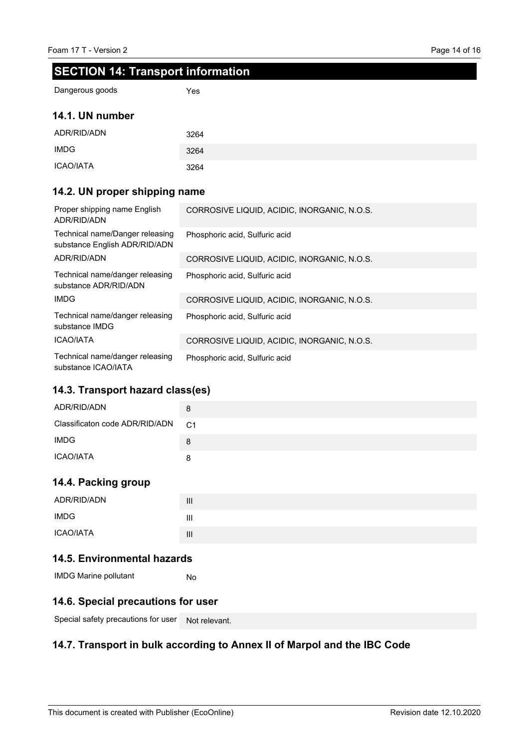# **SECTION 14: Transport information**

Yes

Dangerous goods

### **14.1. UN number**

| ADR/RID/ADN | 3264 |
|-------------|------|
| <b>IMDG</b> | 3264 |
| ICAO/IATA   | 3264 |

### **14.2. UN proper shipping name**

| Proper shipping name English<br>ADR/RID/ADN                      | CORROSIVE LIQUID, ACIDIC, INORGANIC, N.O.S. |
|------------------------------------------------------------------|---------------------------------------------|
| Technical name/Danger releasing<br>substance English ADR/RID/ADN | Phosphoric acid, Sulfuric acid              |
| ADR/RID/ADN                                                      | CORROSIVE LIQUID, ACIDIC, INORGANIC, N.O.S. |
| Technical name/danger releasing<br>substance ADR/RID/ADN         | Phosphoric acid, Sulfuric acid              |
| IMDG                                                             | CORROSIVE LIQUID, ACIDIC, INORGANIC, N.O.S. |
| Technical name/danger releasing<br>substance IMDG                | Phosphoric acid, Sulfuric acid              |
| <b>ICAO/IATA</b>                                                 | CORROSIVE LIQUID, ACIDIC, INORGANIC, N.O.S. |
| Technical name/danger releasing<br>substance ICAO/IATA           | Phosphoric acid, Sulfuric acid              |

### **14.3. Transport hazard class(es)**

| ADR/RID/ADN                    | 8              |
|--------------------------------|----------------|
| Classificaton code ADR/RID/ADN | C <sub>1</sub> |
| <b>IMDG</b>                    | 8              |
| <b>ICAO/IATA</b>               | 8              |

### **14.4. Packing group**

| ADR/RID/ADN | $\mathbf{III}$ |
|-------------|----------------|
| <b>IMDG</b> | Ш              |
| ICAO/IATA   | $\mathbf{III}$ |

### **14.5. Environmental hazards**

No IMDG Marine pollutant

### **14.6. Special precautions for user**

Special safety precautions for user Not relevant.

### **14.7. Transport in bulk according to Annex II of Marpol and the IBC Code**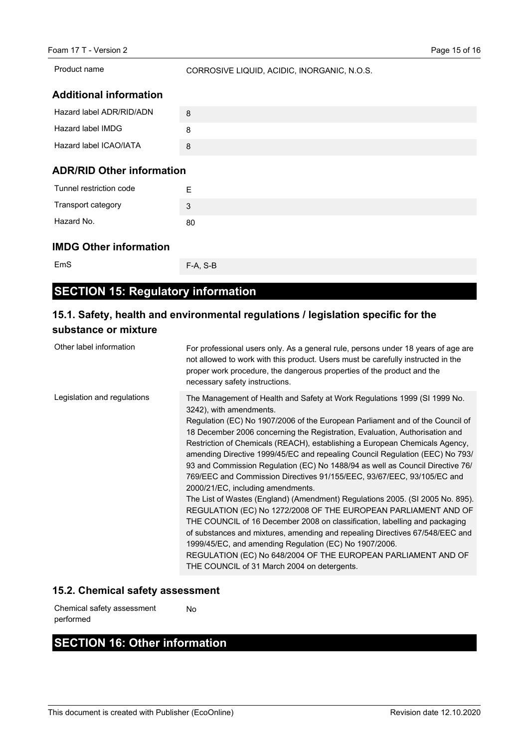Product name

CORROSIVE LIQUID, ACIDIC, INORGANIC, N.O.S.

### **Additional information**

| Hazard label ADR/RID/ADN | 8 |
|--------------------------|---|
| Hazard label IMDG        | 8 |
| Hazard label ICAO/IATA   | 8 |
|                          |   |

### **ADR/RID Other information**

| Tunnel restriction code | ⊢  |
|-------------------------|----|
| Transport category      | 3  |
| Hazard No.              | 80 |

### **IMDG Other information**

EmS

F-A, S-B

# **SECTION 15: Regulatory information**

# **15.1. Safety, health and environmental regulations / legislation specific for the substance or mixture**

| Other label information     | For professional users only. As a general rule, persons under 18 years of age are<br>not allowed to work with this product. Users must be carefully instructed in the<br>proper work procedure, the dangerous properties of the product and the<br>necessary safety instructions.                                                                                                                                                                                                                                                                                                                                                                                                                                                                                                                                                                                                                                                                                                                                                                                                                                              |
|-----------------------------|--------------------------------------------------------------------------------------------------------------------------------------------------------------------------------------------------------------------------------------------------------------------------------------------------------------------------------------------------------------------------------------------------------------------------------------------------------------------------------------------------------------------------------------------------------------------------------------------------------------------------------------------------------------------------------------------------------------------------------------------------------------------------------------------------------------------------------------------------------------------------------------------------------------------------------------------------------------------------------------------------------------------------------------------------------------------------------------------------------------------------------|
| Legislation and regulations | The Management of Health and Safety at Work Regulations 1999 (SI 1999 No.<br>3242), with amendments.<br>Regulation (EC) No 1907/2006 of the European Parliament and of the Council of<br>18 December 2006 concerning the Registration, Evaluation, Authorisation and<br>Restriction of Chemicals (REACH), establishing a European Chemicals Agency,<br>amending Directive 1999/45/EC and repealing Council Regulation (EEC) No 793/<br>93 and Commission Regulation (EC) No 1488/94 as well as Council Directive 76/<br>769/EEC and Commission Directives 91/155/EEC, 93/67/EEC, 93/105/EC and<br>2000/21/EC, including amendments.<br>The List of Wastes (England) (Amendment) Regulations 2005. (SI 2005 No. 895).<br>REGULATION (EC) No 1272/2008 OF THE EUROPEAN PARLIAMENT AND OF<br>THE COUNCIL of 16 December 2008 on classification, labelling and packaging<br>of substances and mixtures, amending and repealing Directives 67/548/EEC and<br>1999/45/EC, and amending Regulation (EC) No 1907/2006.<br>REGULATION (EC) No 648/2004 OF THE EUROPEAN PARLIAMENT AND OF<br>THE COUNCIL of 31 March 2004 on detergents. |

### **15.2. Chemical safety assessment**

No Chemical safety assessment performed

# **SECTION 16: Other information**